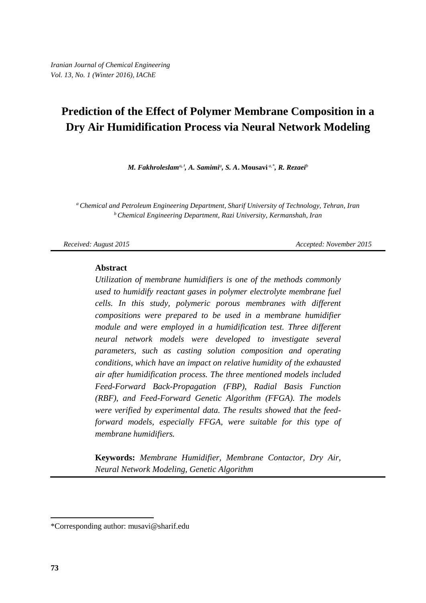# **Prediction of the Effect of Polymer Membrane Composition in a Dry Air Humidification Process via Neural Network Modeling**

*M. Fakhroleslam<sup>a</sup>,***<sup>1</sup>** *, A. Samimi<sup>a</sup> , S. A***. Mousavi** *a,\*, R. Rezaei<sup>b</sup>*

*<sup>a</sup>Chemical and Petroleum Engineering Department, Sharif University of Technology, Tehran, Iran <sup>b</sup>Chemical Engineering Department, Razi University, Kermanshah, Iran*

*Received: August 2015 Accepted: November 2015* 

#### **Abstract**

*Utilization of membrane humidifiers is one of the methods commonly used to humidify reactant gases in polymer electrolyte membrane fuel cells. In this study, polymeric porous membranes with different compositions were prepared to be used in a membrane humidifier module and were employed in a humidification test. Three different neural network models were developed to investigate several parameters, such as casting solution composition and operating conditions, which have an impact on relative humidity of the exhausted air after humidification process. The three mentioned models included Feed-Forward Back-Propagation (FBP), Radial Basis Function (RBF), and Feed-Forward Genetic Algorithm (FFGA). The models were verified by experimental data. The results showed that the feedforward models, especially FFGA, were suitable for this type of membrane humidifiers.*

**Keywords:** *Membrane Humidifier, Membrane Contactor, Dry Air, Neural Network Modeling, Genetic Algorithm*

 $\overline{a}$ 

<sup>\*</sup>Corresponding author[: musavi@sharif.edu](mailto:samousavi@sharif.edu)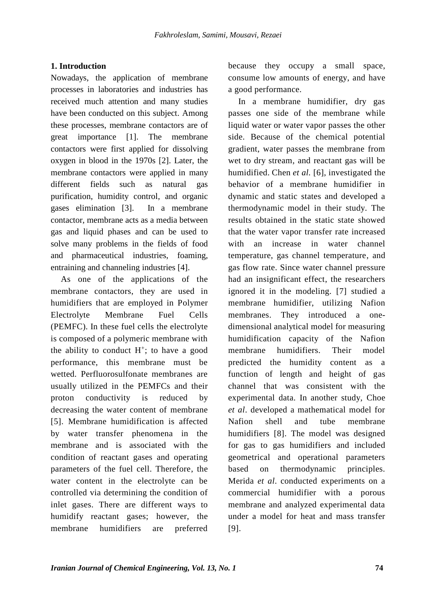## **1. Introduction**

Nowadays, the application of membrane processes in laboratories and industries has received much attention and many studies have been conducted on this subject. Among these processes, membrane contactors are of great importance [\[1\]](#page-10-0). The membrane contactors were first applied for dissolving oxygen in blood in the 1970s [\[2\]](#page-10-1). Later, the membrane contactors were applied in many different fields such as natural gas purification, humidity control, and organic gases elimination [\[3\]](#page-10-2). In a membrane contactor, membrane acts as a media between gas and liquid phases and can be used to solve many problems in the fields of food and pharmaceutical industries, foaming, entraining and channeling industries [\[4\]](#page-10-3).

As one of the applications of the membrane contactors, they are used in humidifiers that are employed in Polymer Electrolyte Membrane Fuel Cells (PEMFC). In these fuel cells the electrolyte is composed of a polymeric membrane with the ability to conduct  $H^+$ ; to have a good performance, this membrane must be wetted. Perfluorosulfonate membranes are usually utilized in the PEMFCs and their proton conductivity is reduced by decreasing the water content of membrane [\[5\]](#page-10-4). Membrane humidification is affected by water transfer phenomena in the membrane and is associated with the condition of reactant gases and operating parameters of the fuel cell. Therefore, the water content in the electrolyte can be controlled via determining the condition of inlet gases. There are different ways to humidify reactant gases; however, the membrane humidifiers are preferred

because they occupy a small space, consume low amounts of energy, and have a good performance.

In a membrane humidifier, dry gas passes one side of the membrane while liquid water or water vapor passes the other side. Because of the chemical potential gradient, water passes the membrane from wet to dry stream, and reactant gas will be humidified. Chen *et al.* [\[6\]](#page-10-5), investigated the behavior of a membrane humidifier in dynamic and static states and developed a thermodynamic model in their study. The results obtained in the static state showed that the water vapor transfer rate increased with an increase in water channel temperature, gas channel temperature, and gas flow rate. Since water channel pressure had an insignificant effect, the researchers ignored it in the modeling. [\[7\]](#page-10-6) studied a membrane humidifier, utilizing Nafion membranes. They introduced a onedimensional analytical model for measuring humidification capacity of the Nafion membrane humidifiers. Their model predicted the humidity content as a function of length and height of gas channel that was consistent with the experimental data. In another study, Choe *et al*. developed a mathematical model for Nafion shell and tube membrane humidifiers [\[8\]](#page-10-7). The model was designed for gas to gas humidifiers and included geometrical and operational parameters based on thermodynamic principles. Merida *et al*. conducted experiments on a commercial humidifier with a porous membrane and analyzed experimental data under a model for heat and mass transfer [\[9\]](#page-10-8).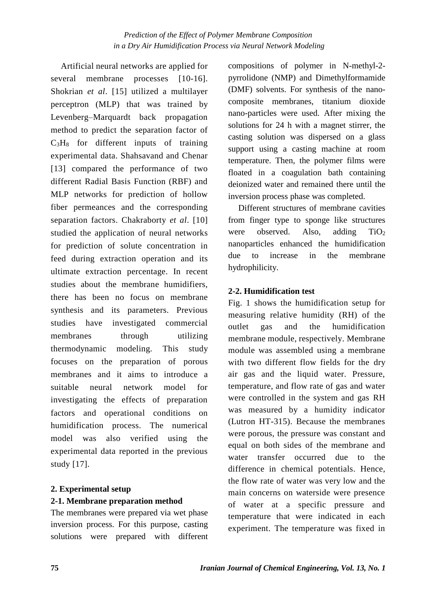Artificial neural networks are applied for several membrane processes [\[10-16\]](#page-10-9). Shokrian *et al*. [\[15\]](#page-10-10) utilized a multilayer perceptron (MLP) that was trained by Levenberg–Marquardt back propagation method to predict the separation factor of  $C_3H_8$  for different inputs of training experimental data. Shahsavand and Chenar [\[13\]](#page-10-11) compared the performance of two different Radial Basis Function (RBF) and MLP networks for prediction of hollow fiber permeances and the corresponding separation factors. Chakraborty *et al*. [\[10\]](#page-10-9) studied the application of neural networks for prediction of solute concentration in feed during extraction operation and its ultimate extraction percentage. In recent studies about the membrane humidifiers, there has been no focus on membrane synthesis and its parameters. Previous studies have investigated commercial membranes through utilizing thermodynamic modeling. This study focuses on the preparation of porous membranes and it aims to introduce a suitable neural network model for investigating the effects of preparation factors and operational conditions on humidification process. The numerical model was also verified using the experimental data reported in the previous study [\[17\]](#page-10-12).

# **2. Experimental setup 2-1. Membrane preparation method**

The membranes were prepared via wet phase inversion process. For this purpose, casting solutions were prepared with different compositions of polymer in N-methyl-2 pyrrolidone (NMP) and Dimethylformamide (DMF) solvents. For synthesis of the nanocomposite membranes, titanium dioxide nano-particles were used. After mixing the solutions for 24 h with a magnet stirrer, the casting solution was dispersed on a glass support using a casting machine at room temperature. Then, the polymer films were floated in a coagulation bath containing deionized water and remained there until the inversion process phase was completed.

Different structures of membrane cavities from finger type to sponge like structures were observed. Also, adding  $TiO<sub>2</sub>$ nanoparticles enhanced the humidification due to increase in the membrane hydrophilicity.

# **2-2. Humidification test**

Fig. 1 shows the humidification setup for measuring relative humidity (RH) of the outlet gas and the humidification membrane module, respectively. Membrane module was assembled using a membrane with two different flow fields for the dry air gas and the liquid water. Pressure, temperature, and flow rate of gas and water were controlled in the system and gas RH was measured by a humidity indicator (Lutron HT-315). Because the membranes were porous, the pressure was constant and equal on both sides of the membrane and water transfer occurred due to the difference in chemical potentials. Hence, the flow rate of water was very low and the main concerns on waterside were presence of water at a specific pressure and temperature that were indicated in each experiment. The temperature was fixed in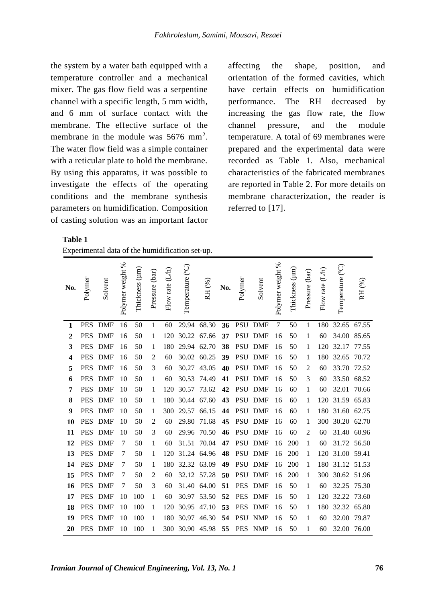the system by a water bath equipped with a temperature controller and a mechanical mixer. The gas flow field was a serpentine channel with a specific length, 5 mm width, and 6 mm of surface contact with the membrane. The effective surface of the membrane in the module was 5676 mm<sup>2</sup>. The water flow field was a simple container with a reticular plate to hold the membrane. By using this apparatus, it was possible to investigate the effects of the operating conditions and the membrane synthesis parameters on humidification. Composition of casting solution was an important factor

 **Table 1** 

| Experimental data of the humidification set-up. |  |  |  |
|-------------------------------------------------|--|--|--|
|                                                 |  |  |  |

affecting the shape, position, and orientation of the formed cavities, which have certain effects on humidification performance. The RH decreased by increasing the gas flow rate, the flow channel pressure, and the module temperature. A total of 69 membranes were prepared and the experimental data were recorded as Table 1. Also, mechanical characteristics of the fabricated membranes are reported in Table 2. For more details on membrane characterization, the reader is referred to [\[17\]](#page-10-12).

| No.            | Polymer    | Solvent    | Polymer weight % | Thickness (µm) | Pressure (bar) | (L/h)<br>Flow rate | Temperature (°C) | RH (%) | No. | Polymer    | Solvent    | Polymer weight % | Thickness (µm) | Pressure (bar) | (L/h)<br>Flow rate | Temperature (°C) | RH (%)      |
|----------------|------------|------------|------------------|----------------|----------------|--------------------|------------------|--------|-----|------------|------------|------------------|----------------|----------------|--------------------|------------------|-------------|
| 1              | <b>PES</b> | <b>DMF</b> | 16               | 50             | 1              | 60                 | 29.94            | 68.30  | 36  | <b>PSU</b> | <b>DMF</b> | $\tau$           | 50             | 1              | 180                | 32.65            | 67.55       |
| $\overline{2}$ | <b>PES</b> | <b>DMF</b> | 16               | 50             | 1              | 120                | 30.22            | 67.66  | 37  | <b>PSU</b> | <b>DMF</b> | 16               | 50             | 1              | 60                 | 34.00            | 85.65       |
| 3              | <b>PES</b> | <b>DMF</b> | 16               | 50             | 1              | 180                | 29.94            | 62.70  | 38  | <b>PSU</b> | <b>DMF</b> | 16               | 50             | 1              | 120                | 32.17            | 77.55       |
| 4              | <b>PES</b> | <b>DMF</b> | 16               | 50             | $\overline{2}$ | 60                 | 30.02            | 60.25  | 39  | <b>PSU</b> | <b>DMF</b> | 16               | 50             | 1              | 180                | 32.65            | 70.72       |
| 5              | <b>PES</b> | <b>DMF</b> | 16               | 50             | 3              | 60                 | 30.27            | 43.05  | 40  | <b>PSU</b> | <b>DMF</b> | 16               | 50             | 2              | 60                 | 33.70            | 72.52       |
| 6              | <b>PES</b> | <b>DMF</b> | 10               | 50             | 1              | 60                 | 30.53            | 74.49  | 41  | <b>PSU</b> | <b>DMF</b> | 16               | 50             | 3              | 60                 | 33.50            | 68.52       |
| 7              | <b>PES</b> | <b>DMF</b> | 10               | 50             | 1              | 120                | 30.57            | 73.62  | 42  | <b>PSU</b> | <b>DMF</b> | 16               | 60             | 1              | 60                 | 32.01            | 70.66       |
| 8              | <b>PES</b> | <b>DMF</b> | 10               | 50             | 1              | 180                | 30.44            | 67.60  | 43  | <b>PSU</b> | DMF        | 16               | 60             | 1              | 120                | 31.59            | 65.83       |
| 9              | <b>PES</b> | <b>DMF</b> | 10               | 50             | 1              | 300                | 29.57            | 66.15  | 44  | <b>PSU</b> | <b>DMF</b> | 16               | 60             | 1              | 180                | 31.60            | 62.75       |
| 10             | <b>PES</b> | <b>DMF</b> | 10               | 50             | 2              | 60                 | 29.80            | 71.68  | 45  | <b>PSU</b> | <b>DMF</b> | 16               | 60             | 1              | 300                | 30.20            | 62.70       |
| 11             | <b>PES</b> | <b>DMF</b> | 10               | 50             | 3              | 60                 | 29.96            | 70.50  | 46  | <b>PSU</b> | <b>DMF</b> | 16               | 60             | 2              | 60                 | 31.40            | 60.96       |
| 12             | <b>PES</b> | <b>DMF</b> | 7                | 50             | 1              | 60                 | 31.51            | 70.04  | 47  | <b>PSU</b> | <b>DMF</b> | 16               | 200            | 1              | 60                 |                  | 31.72 56.50 |
| 13             | <b>PES</b> | <b>DMF</b> | 7                | 50             | 1              | 120                | 31.24            | 64.96  | 48  | <b>PSU</b> | <b>DMF</b> | 16               | 200            | 1              | 120                | 31.00            | 59.41       |
| 14             | <b>PES</b> | <b>DMF</b> | 7                | 50             | 1              | 180                | 32.32            | 63.09  | 49  | <b>PSU</b> | <b>DMF</b> | 16               | 200            | 1              | 180                | 31.12 51.53      |             |
| 15             | <b>PES</b> | <b>DMF</b> | 7                | 50             | $\overline{2}$ | 60                 | 32.12            | 57.28  | 50  | <b>PSU</b> | <b>DMF</b> | 16               | 200            | 1              | 300                | 30.62 51.96      |             |
| 16             | <b>PES</b> | <b>DMF</b> | 7                | 50             | 3              | 60                 | 31.40            | 64.00  | 51  | <b>PES</b> | <b>DMF</b> | 16               | 50             | 1              | 60                 | 32.25            | 75.30       |
| 17             | <b>PES</b> | <b>DMF</b> | 10               | 100            | 1              | 60                 | 30.97            | 53.50  | 52  | <b>PES</b> | <b>DMF</b> | 16               | 50             | 1              | 120                | 32.22            | 73.60       |
| 18             | <b>PES</b> | <b>DMF</b> | 10               | 100            | 1              | 120                | 30.95            | 47.10  | 53  | <b>PES</b> | <b>DMF</b> | 16               | 50             | 1              | 180                | 32.32            | 65.80       |
| 19             | <b>PES</b> | <b>DMF</b> | 10               | 100            | 1              | 180                | 30.97            | 46.30  | 54  | <b>PSU</b> | <b>NMP</b> | 16               | 50             | 1              | 60                 | 32.00            | 79.87       |
| 20             | <b>PES</b> | <b>DMF</b> | 10               | 100            | 1              | 300                | 30.90            | 45.98  | 55  | <b>PES</b> | <b>NMP</b> | 16               | 50             | 1              | 60                 | 32.00            | 76.00       |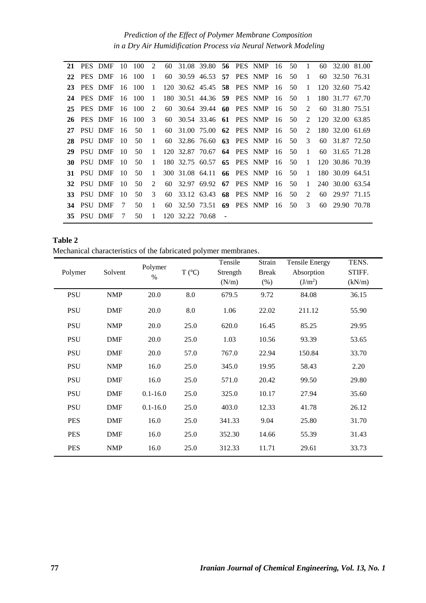*Prediction of the Effect of Polymer Membrane Composition in a Dry Air Humidification Process via Neural Network Modeling*

|     | 21 PES DMF     |     | 10 100 | $\overline{2}$ |     |                 |                                   |  | 60 31.08 39.80 <b>56</b> PES NMP 16 50 |      |     | $\left  \right $ 1 | 60 32.00 81.00  |  |
|-----|----------------|-----|--------|----------------|-----|-----------------|-----------------------------------|--|----------------------------------------|------|-----|--------------------|-----------------|--|
| 22  | PES DMF        | 16  | -100   | 1              | 60  |                 |                                   |  | 30.59 46.53 <b>57</b> PES NMP 16       |      | 50  | $\overline{1}$     | 60 32.50 76.31  |  |
| 23  | PES DMF        | 16  | -100   | $\mathbf{1}$   |     |                 |                                   |  | 120 30.62 45.45 <b>58</b> PES NMP 16   |      | -50 | 1                  | 120 32.60 75.42 |  |
| 24  | PES DMF        | -16 | - 100  | $\mathbf{1}$   |     |                 | 180 30.51 44.36 <b>59</b> PES NMP |  |                                        | - 16 | 50  | -1                 | 180 31.77 67.70 |  |
| 25  | PES DMF        | -16 | - 100  | $\mathcal{L}$  | 60  |                 |                                   |  | 30.64 39.44 60 PES NMP                 | - 16 | 50  | 2                  | 60 31.80 75.51  |  |
| 26  | PES DMF        | -16 | -100   | 3              |     |                 |                                   |  | 60 30.54 33.46 61 PES NMP 16           |      | -50 | $2^{\circ}$        | 120 32.00 63.85 |  |
| 27  | PSU DMF        | -16 | 50     | 1              |     |                 |                                   |  | 60 31.00 75.00 62 PES NMP 16           |      | -50 | $2^{\circ}$        | 180 32.00 61.69 |  |
| 28  | PSU DMF        | -10 | 50     | 1              |     |                 |                                   |  | 60 32.86 76.60 63 PES NMP 16           |      | -50 | $\mathcal{E}$      | 60 31.87 72.50  |  |
| 29  | <b>PSU DMF</b> | -10 | 50     | $\mathbf{1}$   |     |                 | 120 32.87 70.67                   |  | 64 PES NMP 16                          |      | -50 | $\overline{1}$     | 60 31.65 71.28  |  |
| 30  | PSU DMF        | -10 | 50     | $\mathbf{1}$   |     |                 |                                   |  | 180 32.75 60.57 65 PES NMP 16          |      | -50 | 1                  | 120 30.86 70.39 |  |
|     | 31 PSU DMF     | -10 | 50     | $\mathbf{1}$   |     |                 |                                   |  | 300 31.08 64.11 66 PES NMP 16          |      | 50  | $\overline{1}$     | 180 30.09 64.51 |  |
|     | 32 PSU DMF     | 10  | 50     | $\mathfrak{D}$ | 60. |                 |                                   |  | 32.97 69.92 67 PES NMP 16              |      | 50  | $\mathbf{1}$       | 240 30.00 63.54 |  |
|     | 33 PSU DMF     | 10  | 50     | 3              |     |                 |                                   |  | 60 33.12 63.43 68 PES NMP 16           |      | -50 | $2^{\circ}$        | 60 29.97 71.15  |  |
|     | 34 PSU DMF     | 7   | 50     | 1              |     |                 |                                   |  | 60 32.50 73.51 69 PES NMP 16           |      | 50  | 3                  | 60 29.90 70.78  |  |
| 35. | - PSU DMF      | 7   | 50     | 1              |     | 120 32.22 70.68 |                                   |  |                                        |      |     |                    |                 |  |

| Table 2                                                         |  |  |
|-----------------------------------------------------------------|--|--|
| Mechanical characteristics of the fabricated polymer membranes. |  |  |

|            |            | Polymer      |                 | Tensile  | Strain       | <b>Tensile Energy</b> | TENS.  |
|------------|------------|--------------|-----------------|----------|--------------|-----------------------|--------|
| Polymer    | Solvent    | $\%$         | $T (^{\circ}C)$ | Strength | <b>Break</b> | Absorption            | STIFF. |
|            |            |              |                 | (N/m)    | $(\%)$       | (J/m <sup>2</sup> )   | (kN/m) |
| <b>PSU</b> | <b>NMP</b> | 20.0         | 8.0             | 679.5    | 9.72         | 84.08                 | 36.15  |
| <b>PSU</b> | <b>DMF</b> | 20.0         | 8.0             | 1.06     | 22.02        | 211.12                | 55.90  |
| <b>PSU</b> | <b>NMP</b> | 20.0         | 25.0            | 620.0    | 16.45        | 85.25                 | 29.95  |
| <b>PSU</b> | <b>DMF</b> | 20.0         | 25.0            | 1.03     | 10.56        | 93.39                 | 53.65  |
| <b>PSU</b> | <b>DMF</b> | 20.0         | 57.0            | 767.0    | 22.94        | 150.84                | 33.70  |
| <b>PSU</b> | <b>NMP</b> | 16.0         | 25.0            | 345.0    | 19.95        | 58.43                 | 2.20   |
| <b>PSU</b> | <b>DMF</b> | 16.0         | 25.0            | 571.0    | 20.42        | 99.50                 | 29.80  |
| <b>PSU</b> | <b>DMF</b> | $0.1 - 16.0$ | 25.0            | 325.0    | 10.17        | 27.94                 | 35.60  |
| <b>PSU</b> | <b>DMF</b> | $0.1 - 16.0$ | 25.0            | 403.0    | 12.33        | 41.78                 | 26.12  |
| <b>PES</b> | <b>DMF</b> | 16.0         | 25.0            | 341.33   | 9.04         | 25.80                 | 31.70  |
| <b>PES</b> | <b>DMF</b> | 16.0         | 25.0            | 352.30   | 14.66        | 55.39                 | 31.43  |
| <b>PES</b> | <b>NMP</b> | 16.0         | 25.0            | 312.33   | 11.71        | 29.61                 | 33.73  |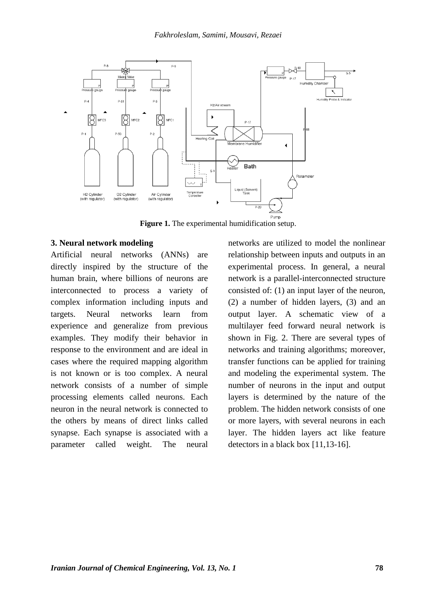

**Figure 1.** The experimental humidification setup.

#### **3. Neural network modeling**

Artificial neural networks (ANNs) are directly inspired by the structure of the human brain, where billions of neurons are interconnected to process a variety of complex information including inputs and targets. Neural networks learn from experience and generalize from previous examples. They modify their behavior in response to the environment and are ideal in cases where the required mapping algorithm is not known or is too complex. A neural network consists of a number of simple processing elements called neurons. Each neuron in the neural network is connected to the others by means of direct links called synapse. Each synapse is associated with a parameter called weight. The neural

networks are utilized to model the nonlinear relationship between inputs and outputs in an experimental process. In general, a neural network is a parallel-interconnected structure consisted of: (1) an input layer of the neuron, (2) a number of hidden layers, (3) and an output layer. A schematic view of a multilayer feed forward neural network is shown in Fig. 2. There are several types of networks and training algorithms; moreover, transfer functions can be applied for training and modeling the experimental system. The number of neurons in the input and output layers is determined by the nature of the problem. The hidden network consists of one or more layers, with several neurons in each layer. The hidden layers act like feature detectors in a black box [\[11](#page-10-13)[,13-16\]](#page-10-11).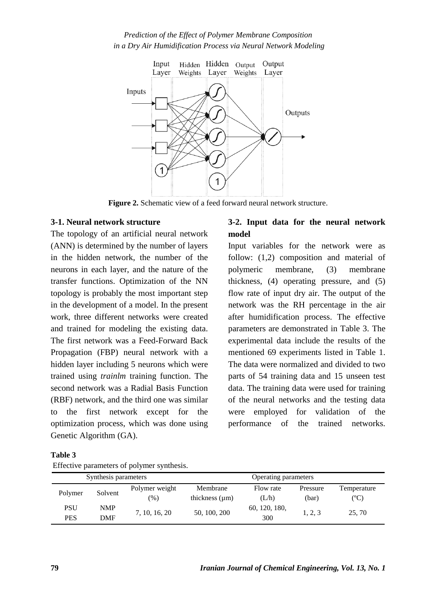## *Prediction of the Effect of Polymer Membrane Composition in a Dry Air Humidification Process via Neural Network Modeling*



**Figure 2.** Schematic view of a feed forward neural network structure.

#### **3-1. Neural network structure**

The topology of an artificial neural network (ANN) is determined by the number of layers in the hidden network, the number of the neurons in each layer, and the nature of the transfer functions. Optimization of the NN topology is probably the most important step in the development of a model. In the present work, three different networks were created and trained for modeling the existing data. The first network was a Feed-Forward Back Propagation (FBP) neural network with a hidden layer including 5 neurons which were trained using *trainlm* training function. The second network was a Radial Basis Function (RBF) network, and the third one was similar to the first network except for the optimization process, which was done using Genetic Algorithm (GA).

## **3-2. Input data for the neural network model**

Input variables for the network were as follow: (1,2) composition and material of polymeric membrane, (3) membrane thickness, (4) operating pressure, and (5) flow rate of input dry air. The output of the network was the RH percentage in the air after humidification process. The effective parameters are demonstrated in Table 3. The experimental data include the results of the mentioned 69 experiments listed in Table 1. The data were normalized and divided to two parts of 54 training data and 15 unseen test data. The training data were used for training of the neural networks and the testing data were employed for validation of the performance of the trained networks.

| Table 3 |                              |  |
|---------|------------------------------|--|
|         | Effective parameters of poly |  |

| Effective parameters of polymer synthesis. |  |
|--------------------------------------------|--|
|                                            |  |

|                   | Synthesis parameters |                       | Operating parameters            |                      |                   |                          |  |  |  |
|-------------------|----------------------|-----------------------|---------------------------------|----------------------|-------------------|--------------------------|--|--|--|
| Polymer           | Solvent              | Polymer weight<br>(%) | Membrane<br>thickness $(\mu m)$ | Flow rate<br>(L/h)   | Pressure<br>(bar) | Temperature<br>$({}^oC)$ |  |  |  |
| PSU<br><b>PES</b> | <b>NMP</b><br>DMF    | 7, 10, 16, 20         | 50, 100, 200                    | 60, 120, 180,<br>300 | 1, 2, 3           | 25, 70                   |  |  |  |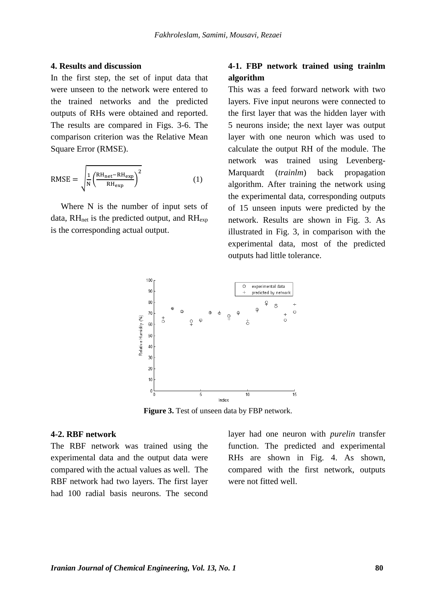#### **4. Results and discussion**

In the first step, the set of input data that were unseen to the network were entered to the trained networks and the predicted outputs of RHs were obtained and reported. The results are compared in Figs. 3-6. The comparison criterion was the Relative Mean Square Error (RMSE).

$$
RMSE = \sqrt{\frac{1}{N} \left( \frac{RH_{net} - RH_{exp}}{RH_{exp}} \right)^2}
$$
 (1)

Where N is the number of input sets of data,  $RH_{net}$  is the predicted output, and  $RH_{exp}$ is the corresponding actual output.

## **4-1. FBP network trained using trainlm algorithm**

This was a feed forward network with two layers. Five input neurons were connected to the first layer that was the hidden layer with 5 neurons inside; the next layer was output layer with one neuron which was used to calculate the output RH of the module. The network was trained using Levenberg-Marquardt (*trainlm*) back propagation algorithm. After training the network using the experimental data, corresponding outputs of 15 unseen inputs were predicted by the network. Results are shown in Fig. 3. As illustrated in Fig. 3, in comparison with the experimental data, most of the predicted outputs had little tolerance.



Figure 3. Test of unseen data by FBP network.

#### **4-2. RBF network**

The RBF network was trained using the experimental data and the output data were compared with the actual values as well. The RBF network had two layers. The first layer had 100 radial basis neurons. The second layer had one neuron with *purelin* transfer function. The predicted and experimental RHs are shown in Fig. 4. As shown, compared with the first network, outputs were not fitted well.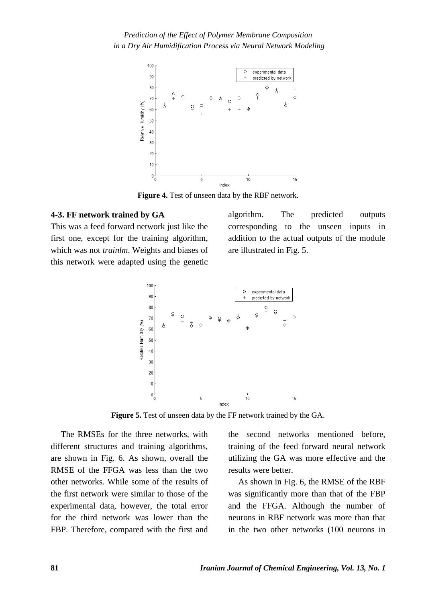

**Figure 4.** Test of unseen data by the RBF network.

## **4-3. FF network trained by GA**

This was a feed forward network just like the first one, except for the training algorithm, which was not *trainlm*. Weights and biases of this network were adapted using the genetic algorithm. The predicted outputs corresponding to the unseen inputs in addition to the actual outputs of the module are illustrated in Fig. 5.



**Figure 5.** Test of unseen data by the FF network trained by the GA.

The RMSEs for the three networks, with different structures and training algorithms, are shown in Fig. 6. As shown, overall the RMSE of the FFGA was less than the two other networks. While some of the results of the first network were similar to those of the experimental data, however, the total error for the third network was lower than the FBP. Therefore, compared with the first and

the second networks mentioned before, training of the feed forward neural network utilizing the GA was more effective and the results were better.

As shown in Fig. 6, the RMSE of the RBF was significantly more than that of the FBP and the FFGA. Although the number of neurons in RBF network was more than that in the two other networks (100 neurons in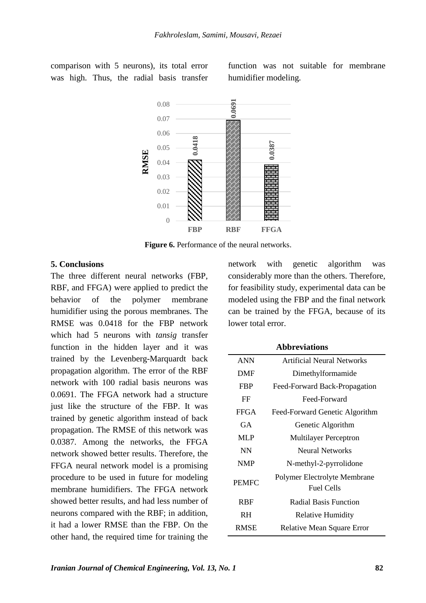comparison with 5 neurons), its total error was high. Thus, the radial basis transfer

function was not suitable for membrane humidifier modeling.



**Figure 6.** Performance of the neural networks.

#### **5. Conclusions**

The three different neural networks (FBP, RBF, and FFGA) were applied to predict the behavior of the polymer membrane humidifier using the porous membranes. The RMSE was 0.0418 for the FBP network which had 5 neurons with *tansig* transfer function in the hidden layer and it was trained by the Levenberg-Marquardt back propagation algorithm. The error of the RBF network with 100 radial basis neurons was 0.0691. The FFGA network had a structure just like the structure of the FBP. It was trained by genetic algorithm instead of back propagation. The RMSE of this network was 0.0387. Among the networks, the FFGA network showed better results. Therefore, the FFGA neural network model is a promising procedure to be used in future for modeling membrane humidifiers. The FFGA network showed better results, and had less number of neurons compared with the RBF; in addition, it had a lower RMSE than the FBP. On the other hand, the required time for training the

network with genetic algorithm was considerably more than the others. Therefore, for feasibility study, experimental data can be modeled using the FBP and the final network can be trained by the FFGA, because of its lower total error.

 **Abbreviations**

| Artificial Neural Networks                        |  |  |  |
|---------------------------------------------------|--|--|--|
| Dimethylformamide                                 |  |  |  |
| Feed-Forward Back-Propagation                     |  |  |  |
| Feed-Forward                                      |  |  |  |
| Feed-Forward Genetic Algorithm                    |  |  |  |
| Genetic Algorithm                                 |  |  |  |
| <b>Multilayer Perceptron</b>                      |  |  |  |
| <b>Neural Networks</b>                            |  |  |  |
| N-methyl-2-pyrrolidone                            |  |  |  |
| Polymer Electrolyte Membrane<br><b>Fuel Cells</b> |  |  |  |
| Radial Basis Function                             |  |  |  |
| <b>Relative Humidity</b>                          |  |  |  |
| <b>Relative Mean Square Error</b>                 |  |  |  |
|                                                   |  |  |  |